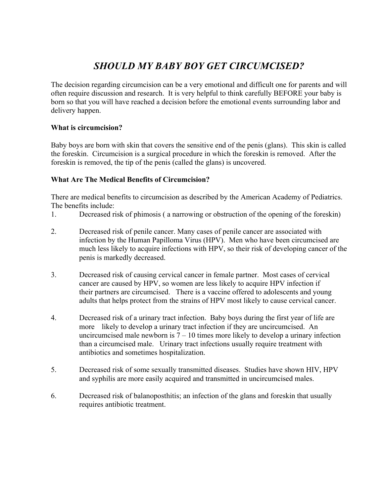# *SHOULD MY BABY BOY GET CIRCUMCISED?*

The decision regarding circumcision can be a very emotional and difficult one for parents and will often require discussion and research. It is very helpful to think carefully BEFORE your baby is born so that you will have reached a decision before the emotional events surrounding labor and delivery happen.

# **What is circumcision?**

Baby boys are born with skin that covers the sensitive end of the penis (glans). This skin is called the foreskin. Circumcision is a surgical procedure in which the foreskin is removed. After the foreskin is removed, the tip of the penis (called the glans) is uncovered.

## **What Are The Medical Benefits of Circumcision?**

There are medical benefits to circumcision as described by the American Academy of Pediatrics. The benefits include:

- 1. Decreased risk of phimosis ( a narrowing or obstruction of the opening of the foreskin)
- 2. Decreased risk of penile cancer. Many cases of penile cancer are associated with infection by the Human Papilloma Virus (HPV). Men who have been circumcised are much less likely to acquire infections with HPV, so their risk of developing cancer of the penis is markedly decreased.
- 3. Decreased risk of causing cervical cancer in female partner. Most cases of cervical cancer are caused by HPV, so women are less likely to acquire HPV infection if their partners are circumcised. There is a vaccine offered to adolescents and young adults that helps protect from the strains of HPV most likely to cause cervical cancer.
- 4. Decreased risk of a urinary tract infection. Baby boys during the first year of life are more likely to develop a urinary tract infection if they are uncircumcised. An uncircumcised male newborn is  $7 - 10$  times more likely to develop a urinary infection than a circumcised male. Urinary tract infections usually require treatment with antibiotics and sometimes hospitalization.
- 5. Decreased risk of some sexually transmitted diseases. Studies have shown HIV, HPV and syphilis are more easily acquired and transmitted in uncircumcised males.
- 6. Decreased risk of balanoposthitis; an infection of the glans and foreskin that usually requires antibiotic treatment.